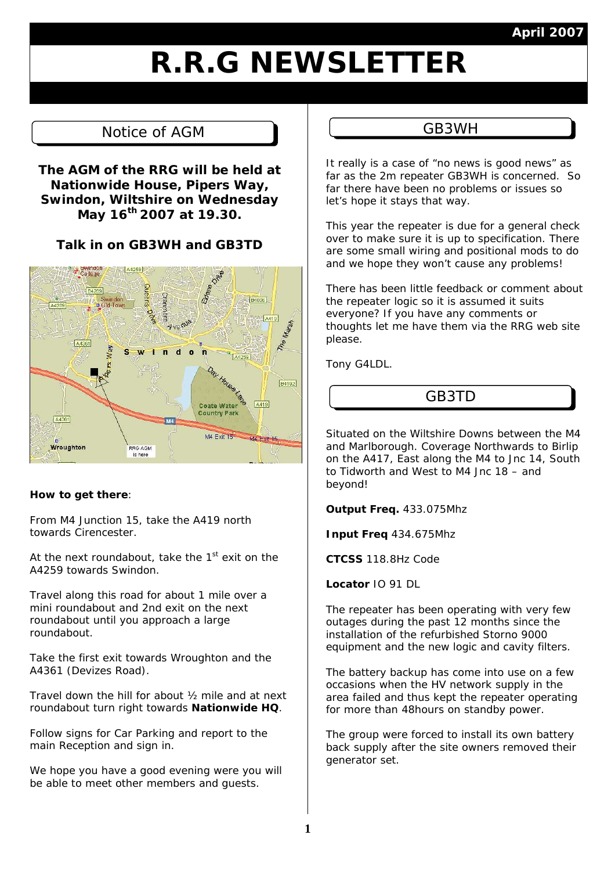### **April 2007**

# **R.R.G NEWSLETTER**

# Notice of AGM  $\parallel$  Let GB3WH

**The AGM of the RRG will be held at Nationwide House, Pipers Way, Swindon, Wiltshire on Wednesday May 16th 2007 at 19.30.** 

**Talk in on GB3WH and GB3TD** 



#### **How to get there**:

From M4 Junction 15, take the A419 north towards Cirencester.

At the next roundabout, take the  $1<sup>st</sup>$  exit on the A4259 towards Swindon.

Travel along this road for about 1 mile over a mini roundabout and 2nd exit on the next roundabout until you approach a large roundabout.

Take the first exit towards Wroughton and the A4361 (Devizes Road).

Travel down the hill for about ½ mile and at next roundabout turn right towards **Nationwide HQ**.

Follow signs for Car Parking and report to the main Reception and sign in.

We hope you have a good evening were you will be able to meet other members and guests.

It really is a case of "no news is good news" as far as the 2m repeater GB3WH is concerned. So far there have been no problems or issues so let's hope it stays that way.

This year the repeater is due for a general check over to make sure it is up to specification. There are some small wiring and positional mods to do and we hope they won't cause any problems!

There has been little feedback or comment about the repeater logic so it is assumed it suits everyone? If you have any comments or thoughts let me have them via the RRG web site please.

Tony G4LDL.

# GB3TD

Situated on the Wiltshire Downs between the M4 and Marlborough. Coverage Northwards to Birlip on the A417, East along the M4 to Jnc 14, South to Tidworth and West to M4 Jnc 18 – and beyond!

**Output Freq.** 433.075Mhz

**Input Freq** 434.675Mhz

**CTCSS** 118.8Hz Code

**Locator** IO 91 DL

The repeater has been operating with very few outages during the past 12 months since the installation of the refurbished Storno 9000 equipment and the new logic and cavity filters.

The battery backup has come into use on a few occasions when the HV network supply in the area failed and thus kept the repeater operating for more than 48hours on standby power.

The group were forced to install its own battery back supply after the site owners removed their generator set.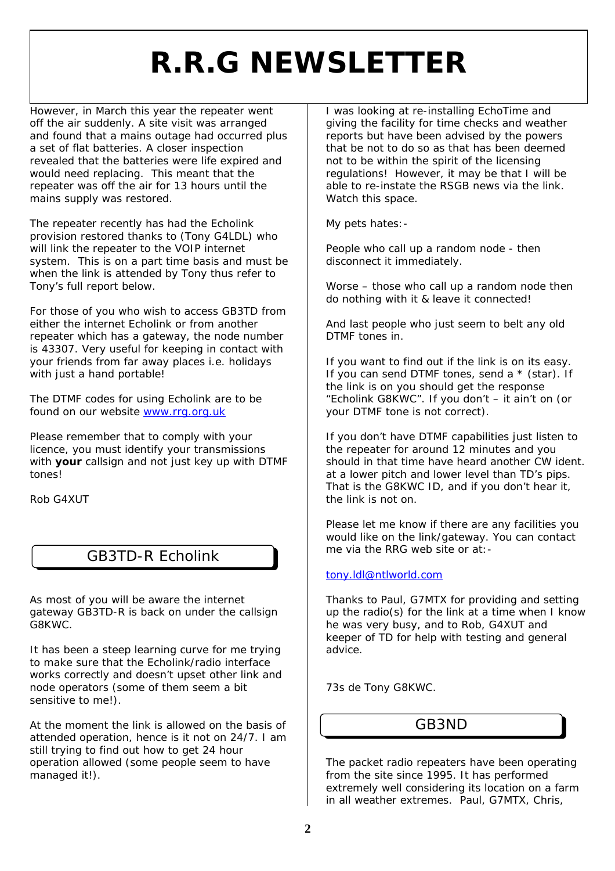# **R.R.G NEWSLETTER**

However, in March this year the repeater went off the air suddenly. A site visit was arranged and found that a mains outage had occurred plus a set of flat batteries. A closer inspection revealed that the batteries were life expired and would need replacing. This meant that the repeater was off the air for 13 hours until the mains supply was restored.

The repeater recently has had the Echolink provision restored thanks to (Tony G4LDL) who will link the repeater to the VOIP internet system. This is on a part time basis and must be when the link is attended by Tony thus refer to Tony's full report below.

For those of you who wish to access GB3TD from either the internet Echolink or from another repeater which has a gateway, the node number is 43307. Very useful for keeping in contact with your friends from far away places i.e. holidays with just a hand portable!

The DTMF codes for using Echolink are to be found on our website www.rrg.org.uk

Please remember that to comply with your licence, you must identify your transmissions with **your** callsign and not just key up with DTMF tones!

Rob G4XUT

As most of you will be aware the internet gateway GB3TD-R is back on under the callsign G8KWC.

It has been a steep learning curve for me trying to make sure that the Echolink/radio interface works correctly and doesn't upset other link and node operators (some of them seem a bit sensitive to me!).

At the moment the link is allowed on the basis of attended operation, hence is it not on 24/7. I am still trying to find out how to get 24 hour operation allowed (some people seem to have managed it!).

I was looking at re-installing EchoTime and giving the facility for time checks and weather reports but have been advised by the powers that be not to do so as that has been deemed not to be within the spirit of the licensing regulations! However, it may be that I will be able to re-instate the RSGB news via the link. Watch this space.

My pets hates:-

People who call up a random node - then disconnect it immediately.

Worse – those who call up a random node then do nothing with it & leave it connected!

And last people who just seem to belt any old DTMF tones in.

If you want to find out if the link is on its easy. If you can send DTMF tones, send a  $*$  (star). If the link is on you should get the response "Echolink G8KWC". If you don't – it ain't on (or your DTMF tone is not correct).

If you don't have DTMF capabilities just listen to the repeater for around 12 minutes and you should in that time have heard another CW ident. at a lower pitch and lower level than TD's pips. That is the G8KWC ID, and if you don't hear it, the link is not on.

Please let me know if there are any facilities you would like on the link/gateway. You can contact GB3TD-R Echolink me via the RRG web site or at:-

#### tony.ldl@ntlworld.com

Thanks to Paul, G7MTX for providing and setting up the radio(s) for the link at a time when I know he was very busy, and to Rob, G4XUT and keeper of TD for help with testing and general advice.

73s de Tony G8KWC.

### GB3ND

The packet radio repeaters have been operating from the site since 1995. It has performed extremely well considering its location on a farm in all weather extremes. Paul, G7MTX, Chris,